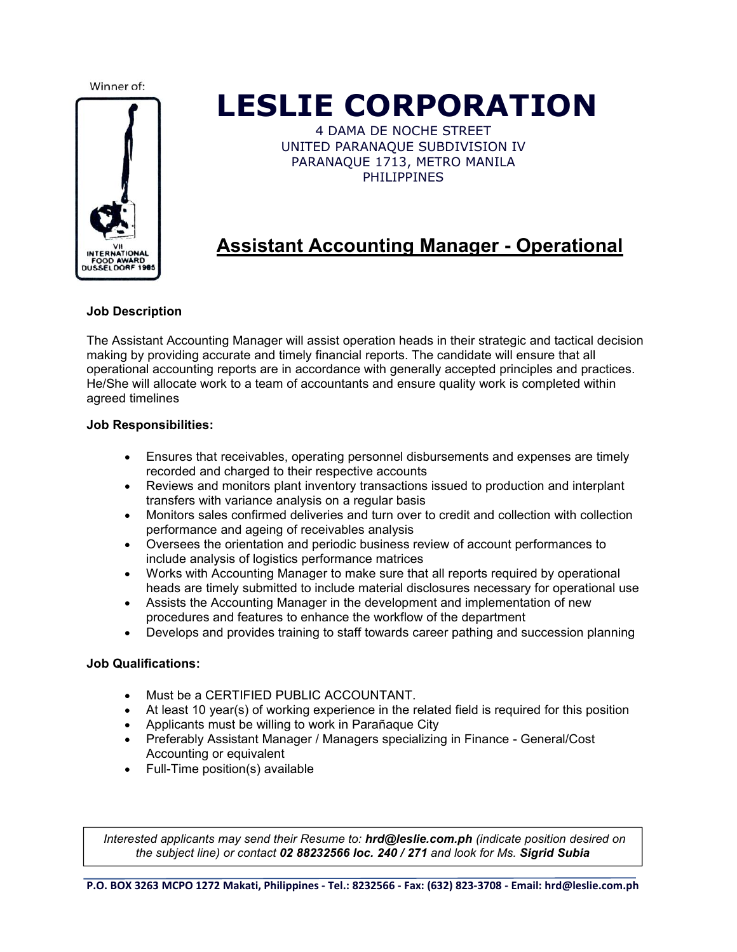

## **LESLIE CORPORATION**

4 DAMA DE NOCHE STREET UNITED PARANAQUE SUBDIVISION IV PARANAQUE 1713, METRO MANILA PHILIPPINES

## **Assistant Accounting Manager - Operational**

#### **Job Description**

The Assistant Accounting Managerwill assist operation heads in their strategic and tactical decision making by providing accurate and timely financial reports. The candidate will ensure that all operational accounting reports are in accordance with generally accepted principles and practices. He/She will allocate work to a team of accountants and ensure quality work is completed within agreed timelines

#### **Job Responsibilities:**

- Ensures that receivables, operating personnel disbursements and expenses are timely recorded and charged to their respective accounts
- Reviews and monitors plant inventory transactions issued to production and interplant transfers with variance analysis on a regular basis
- Monitors sales confirmed deliveries and turn overto credit and collection with collection performance and ageing of receivables analysis
- Oversees the orientation and periodic business review ofaccount performances to include analysis of logistics performance matrices
- Works with Accounting Manager to make sure that all reports required by operational heads are timely submitted to include material disclosures necessary for operational use
- Assists the Accounting Manager in the development and implementation of new procedures and features to enhance the workflow of the department
- Develops and provides training to staff towards career pathing and succession planning

#### **Job Qualifications:**

- Must be a CERTIFIED PUBLIC ACCOUNTANT.
- $\bullet$  At least 10 year(s) of working experience in the related field is required for this position
- Applicants must be willing to work in Parañaque City
- Preferably Assistant Manager / Managers specializing in Finance General/Cost Accounting or equivalent
- Full-Time position(s) available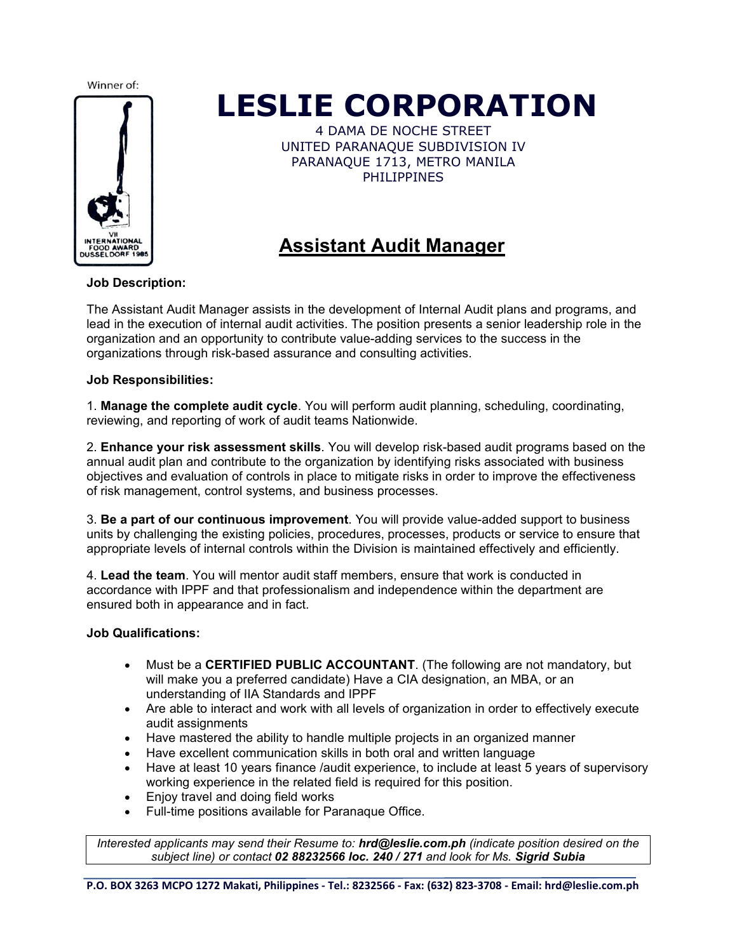

## **LESLIE CORPORATION**

4 DAMA DE NOCHE STREET UNITED PARANAQUE SUBDIVISION IV PARANAQUE 1713, METRO MANILA PHILIPPINES

### **Assistant Audit Manager**

#### **Job Description:**

The Assistant Audit Manager assists in the development of Internal Audit plans and programs, and lead in the execution of internal audit activities. The position presents a senior leadership role in the organization and an opportunity to contribute value-adding services to the success in the organizations through risk-based assurance and consulting activities.

#### **Job Responsibilities:**

1. **Manage the complete audit cycle**. You will perform audit planning, scheduling, coordinating, reviewing, and reporting of work of audit teams Nationwide.

2. **Enhance your risk assessment skills**. You will develop risk-based audit programs based on the annual audit plan and contribute to the organization by identifying risks associated with business objectives and evaluation of controls in place to mitigate risks in order to improve the effectiveness of risk management, control systems, and business processes.

3. **Be a part ofour continuous improvement**. You will provide value-added support to business units by challenging the existing policies, procedures, processes, products or service to ensure that appropriate levels of internal controls within the Division is maintained effectively and efficiently.

4. **Lead the team**. You will mentor audit staff members, ensure that work is conducted in accordance with IPPF and that professionalism and independence within the department are ensured both in appearance and in fact.

#### **Job Qualifications:**

- Must be a **CERTIFIED PUBLIC ACCOUNTANT**. (The following are not mandatory, but will make you a preferred candidate) Have a CIA designation, an MBA, or an understanding of IIA Standards and IPPF
- Are able to interact and work with all levels of organization in order to effectively execute audit assignments
- Have mastered the ability to handle multiple projects in an organized manner
- Have excellent communication skills in both oral and written language
- Have at least 10 years finance /audit experience, to include at least 5 years of supervisory working experience in the related field is required for this position.
- Enjoy travel and doing field works
- Full-time positions available for Paranaque Office.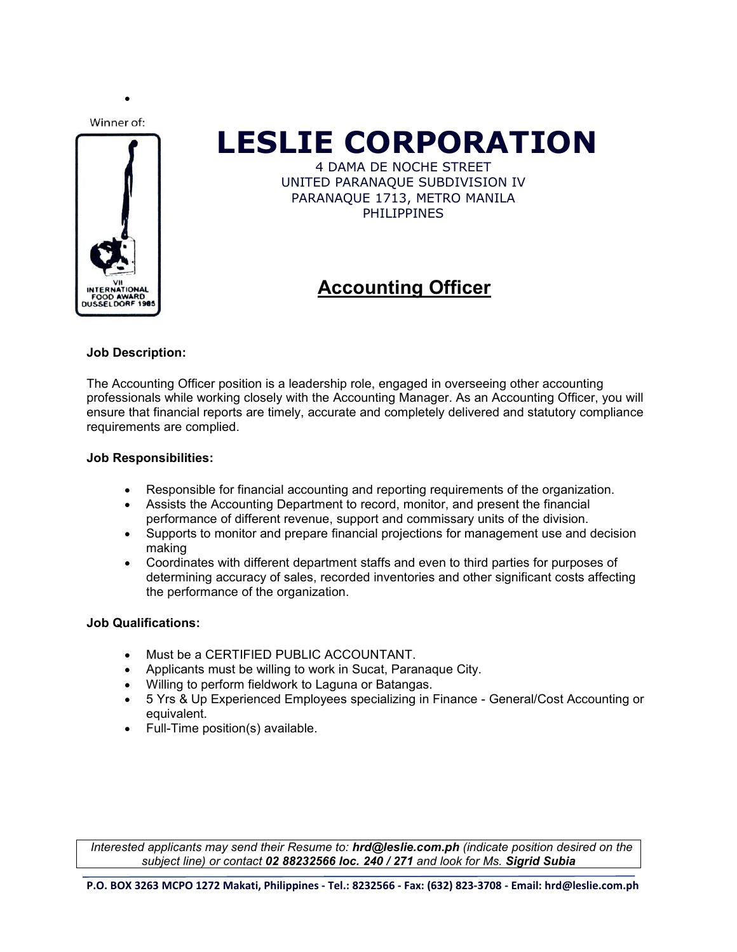$\bullet$  and  $\bullet$  and  $\bullet$  and  $\bullet$  and  $\bullet$ 



# **LESLIE CORPORATION**

4 DAMA DE NOCHE STREET UNITED PARANAQUE SUBDIVISION IV PARANAQUE 1713, METRO MANILA PHILIPPINES

## **Accounting Officer**

#### **Job Description:**

The Accounting Officer position is a leadership role, engaged in overseeing other accounting professionals while working closely with the Accounting Manager. As an Accounting Officer, you will ensure that financial reports are timely, accurate and completely delivered and statutory compliance requirements are complied.

#### **Job Responsibilities:**

- Responsible for financial accounting and reporting requirements of the organization.
- Assists the Accounting Department to record, monitor, and present the financial performance of different revenue, support and commissary units of the division.
- Supports to monitor and prepare financial projections for management use and decision making
- Coordinates with different department staffs and even to third parties for purposes of determining accuracy of sales, recorded inventories and other significant costs affecting the performance of the organization.

#### **Job Qualifications:**

- Must be a CERTIFIED PUBLIC ACCOUNTANT.
- Applicants must be willing to work in Sucat, Paranaque City.
- Willing to perform fieldwork to Laguna or Batangas.
- 5 Yrs & Up Experienced Employees specializing in Finance General/Cost Accounting or equivalent.
- Full-Time position(s) available.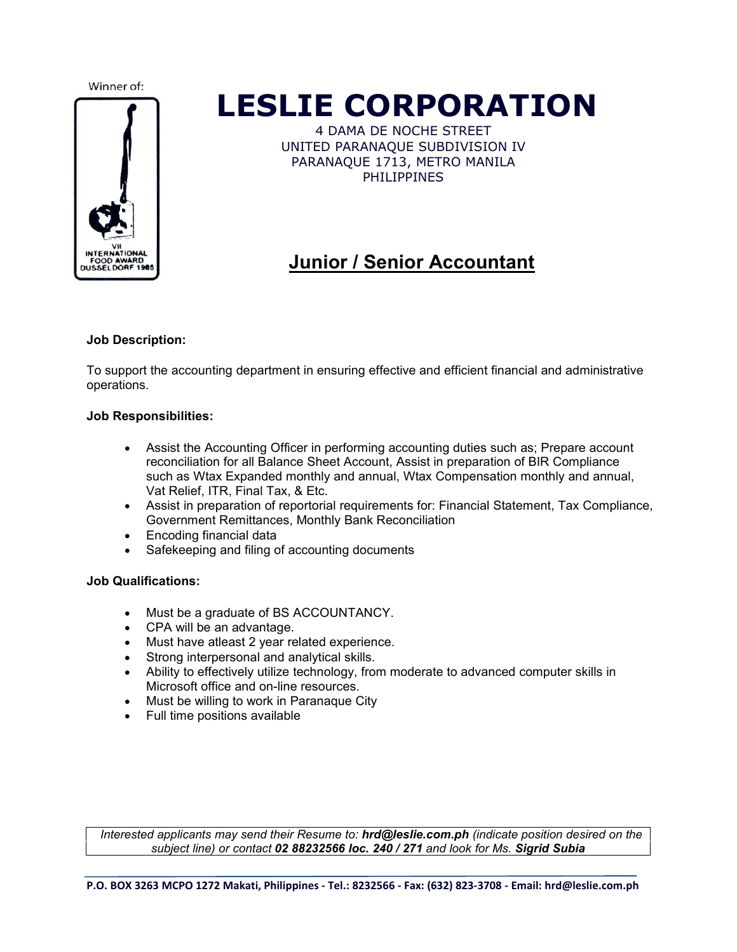

## **LESLIE CORPORATION**

4 DAMA DE NOCHE STREET UNITED PARANAQUE SUBDIVISION IV PARANAQUE 1713, METRO MANILA PHILIPPINES

## **Junior / Senior Accountant**

#### **Job Description:**

To support the accounting department in ensuring effective and efficient financial and administrative operations.

#### **Job Responsibilities:**

- Assist the Accounting Officer in performing accounting duties such as; Prepare account reconciliation for all Balance Sheet Account, Assist in preparation of BIR Compliance such as Wtax Expanded monthly and annual, Wtax Compensation monthly and annual, Vat Relief, ITR, Final Tax, & Etc.
- Assist in preparation of reportorial requirements for: Financial Statement, Tax Compliance, Government Remittances, Monthly Bank Reconciliation
- Encoding financial data
- Safekeeping and filing of accounting documents

#### **Job Qualifications:**

- Must be a graduate of BS ACCOUNTANCY.
- CPA will be an advantage.
- Must have atleast 2 year related experience.
- Strong interpersonal and analytical skills.
- Ability to effectively utilize technology, from moderate to advanced computer skills in Microsoft office and on-line resources.
- Must be willing to work in Paranaque City
- Full time positions available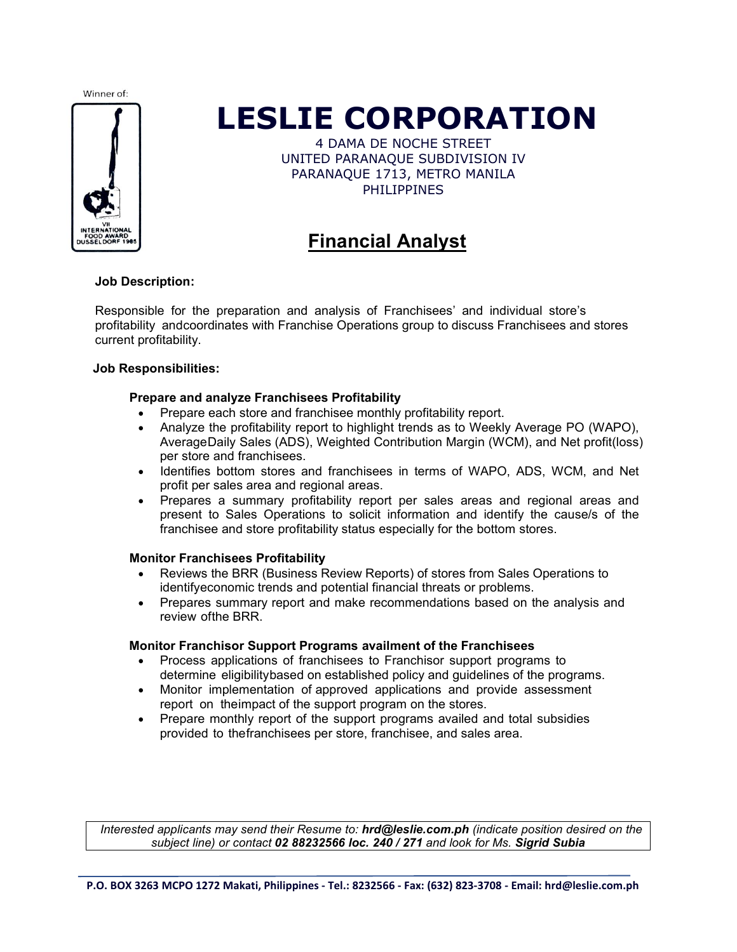

## **LESLIE CORPORATION**

4 DAMA DE NOCHE STREET UNITED PARANAQUE SUBDIVISION IV PARANAQUE 1713, METRO MANILA PHILIPPINES

### **Financial Analyst**

#### **Job Description:**

Responsible for the preparation and analysis of Franchisees' and individual store's profitability andcoordinates with Franchise Operations group to discuss Franchisees and stores current profitability.

#### **Job Responsibilities:**

#### **Prepare and analyze Franchisees Profitability**

- Prepare each store and franchisee monthly profitability report.
- Analyze the profitability report to highlight trends as to Weekly Average PO (WAPO), AverageDaily Sales (ADS), Weighted Contribution Margin (WCM), and Net profit(loss) per store and franchisees.
- Identifies bottom stores and franchisees in terms of WAPO, ADS, WCM, and Net profit per sales area and regional areas.
- Prepares a summary profitability report per sales areas and regional areas and present to Sales Operations to solicit information and identify the cause/s of the franchisee and store profitability status especially for the bottom stores.

#### **Monitor Franchisees Profitability**

- Reviews the BRR (Business Review Reports) of stores from Sales Operations to identifyeconomic trends and potential financial threats or problems.
- Prepares summary report and make recommendations based on the analysis and review ofthe BRR.

#### **Monitor Franchisor Support Programs availment of the Franchisees**

- Process applications of franchisees to Franchisor support programs to determine eligibilitybased on established policy and guidelines of the programs.
- Monitor implementation of approved applications and provide assessment report on theimpact of the support program on the stores.
- Prepare monthly report of the support programs availed and total subsidies provided to thefranchisees per store, franchisee, and sales area.